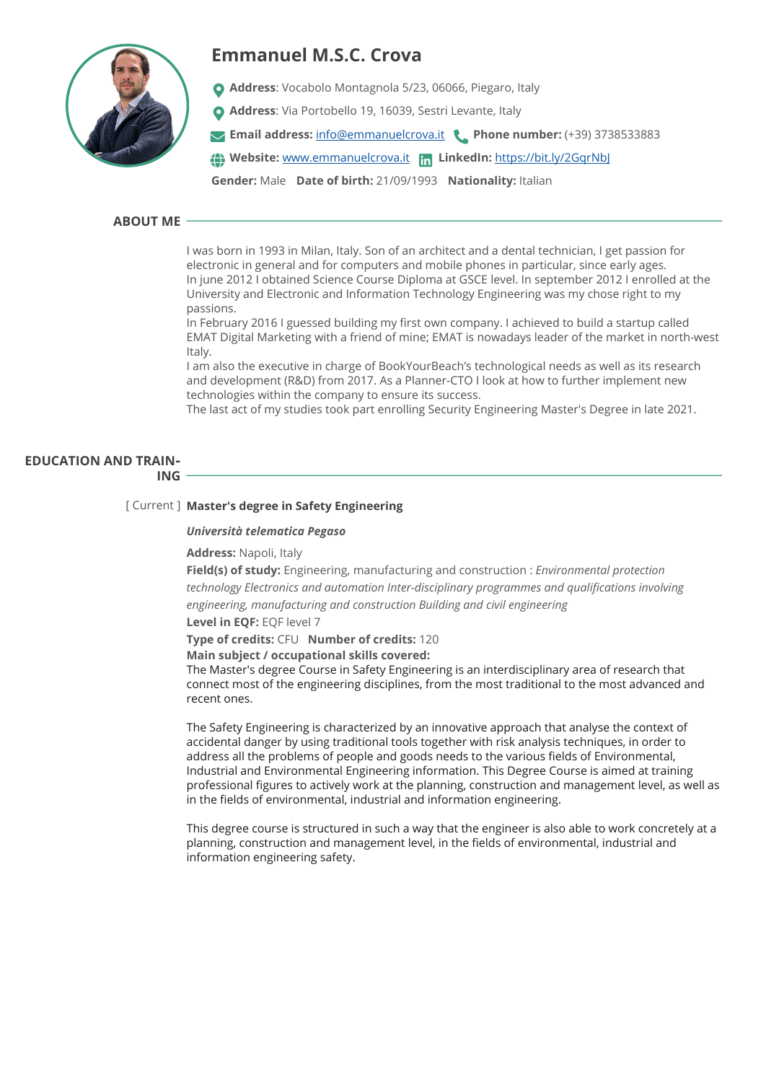

# **Emmanuel M.S.C. Crova**

- **Address**: Vocabolo Montagnola 5/23, 06066, Piegaro, Italy
- **Address**: Via Portobello 19, 16039, Sestri Levante, Italy
- **Email address:** [info@emmanuelcrova.it](mailto:info@emmanuelcrova.it) **Phone number:** (+39) 3738533883

**Website:** [www.emmanuelcrova.it](http://www.emmanuelcrova.it) **LinkedIn:** <https://bit.ly/2GqrNbJ>

**Gender:** Male **Date of birth:** 21/09/1993 **Nationality:** Italian

# **ABOUT ME**

I was born in 1993 in Milan, Italy. Son of an architect and a dental technician, I get passion for electronic in general and for computers and mobile phones in particular, since early ages. In june 2012 I obtained Science Course Diploma at GSCE level. In september 2012 I enrolled at the University and Electronic and Information Technology Engineering was my chose right to my passions.

In February 2016 I guessed building my first own company. I achieved to build a startup called EMAT Digital Marketing with a friend of mine; EMAT is nowadays leader of the market in north-west Italy.

I am also the executive in charge of BookYourBeach's technological needs as well as its research and development (R&D) from 2017. As a Planner-CTO I look at how to further implement new technologies within the company to ensure its success.

The last act of my studies took part enrolling Security Engineering Master's Degree in late 2021.

# **EDUCATION AND TRAIN‐**

**ING**

# [ Current ] **Master's degree in Safety Engineering**

# *Università telematica Pegaso*

# **Address:** Napoli, Italy

**Field(s) of study:** Engineering, manufacturing and construction : *Environmental protection technology Electronics and automation Inter-disciplinary programmes and qualifications involving engineering, manufacturing and construction Building and civil engineering*  **Level in EQF:** EQF level 7

**Type of credits:** CFU **Number of credits:** 120

**Main subject / occupational skills covered:** 

The Master's degree Course in Safety Engineering is an interdisciplinary area of research that connect most of the engineering disciplines, from the most traditional to the most advanced and recent ones.

The Safety Engineering is characterized by an innovative approach that analyse the context of accidental danger by using traditional tools together with risk analysis techniques, in order to address all the problems of people and goods needs to the various fields of Environmental, Industrial and Environmental Engineering information. This Degree Course is aimed at training professional figures to actively work at the planning, construction and management level, as well as in the fields of environmental, industrial and information engineering.

This degree course is structured in such a way that the engineer is also able to work concretely at a planning, construction and management level, in the fields of environmental, industrial and information engineering safety.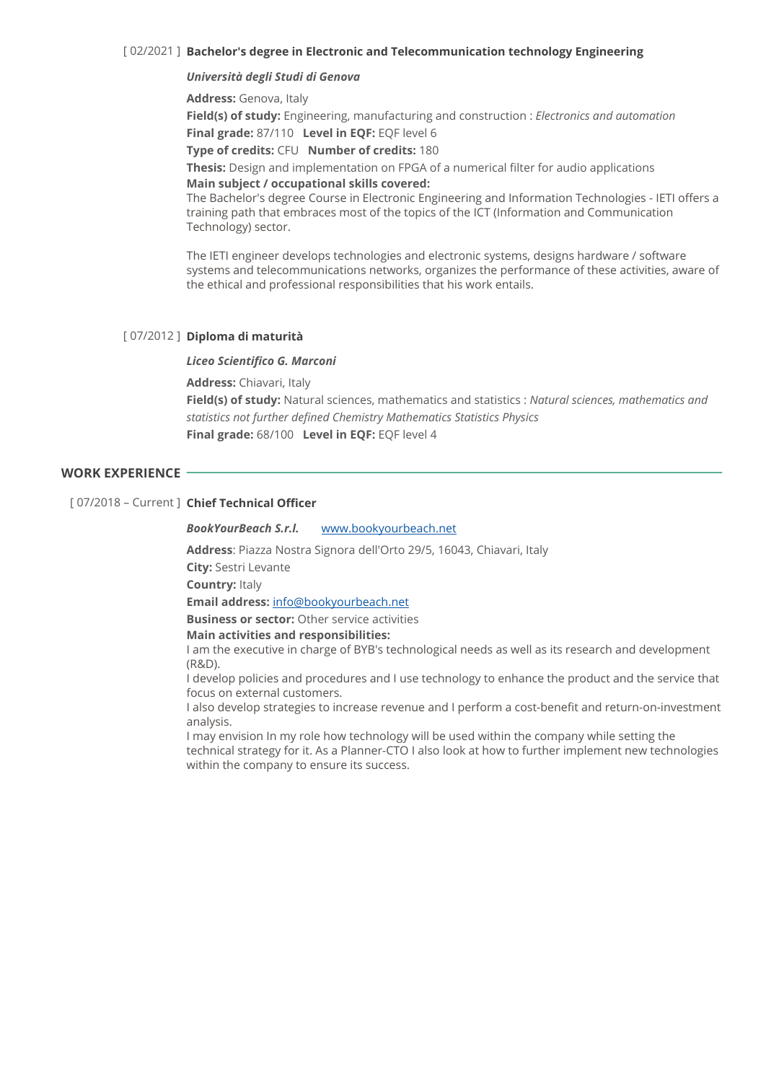# [ 02/2021 ] **Bachelor's degree in Electronic and Telecommunication technology Engineering**

# *Università degli Studi di Genova*

**Address:** Genova, Italy

**Field(s) of study:** Engineering, manufacturing and construction : *Electronics and automation*  **Final grade:** 87/110 **Level in EQF:** EQF level 6

**Type of credits:** CFU **Number of credits:** 180

**Thesis:** Design and implementation on FPGA of a numerical filter for audio applications **Main subject / occupational skills covered:** 

The Bachelor's degree Course in Electronic Engineering and Information Technologies - IETI offers a training path that embraces most of the topics of the ICT (Information and Communication Technology) sector.

The IETI engineer develops technologies and electronic systems, designs hardware / software systems and telecommunications networks, organizes the performance of these activities, aware of the ethical and professional responsibilities that his work entails.

# [ 07/2012 ] **Diploma di maturità**

### *Liceo Scientifico G. Marconi*

**Address:** Chiavari, Italy

**Field(s) of study:** Natural sciences, mathematics and statistics : *Natural sciences, mathematics and statistics not further defined Chemistry Mathematics Statistics Physics*  **Final grade:** 68/100 **Level in EQF:** EQF level 4

# **WORK EXPERIENCE**

# [ 07/2018 – Current ] **Chief Technical Officer**

*BookYourBeach S.r.l.* [www.bookyourbeach.net](http://www.bookyourbeach.net)

**Address**: Piazza Nostra Signora dell'Orto 29/5, 16043, Chiavari, Italy

**City:** Sestri Levante

**Country:** Italy

**Email address:** [info@bookyourbeach.net](mailto:info@bookyourbeach.net)

**Business or sector:** Other service activities

# **Main activities and responsibilities:**

I am the executive in charge of BYB's technological needs as well as its research and development (R&D).

I develop policies and procedures and I use technology to enhance the product and the service that focus on external customers.

I also develop strategies to increase revenue and I perform a cost-benefit and return-on-investment analysis.

I may envision In my role how technology will be used within the company while setting the technical strategy for it. As a Planner-CTO I also look at how to further implement new technologies within the company to ensure its success.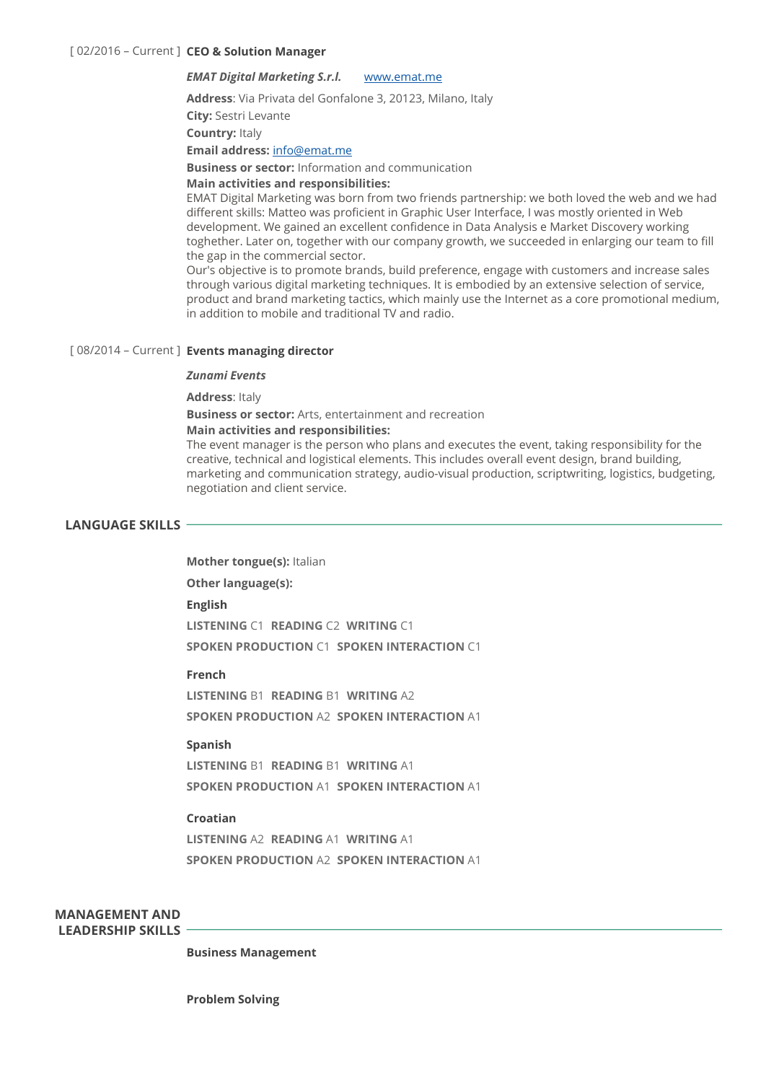# *EMAT Digital Marketing S.r.l.* [www.emat.me](http://www.emat.me)

**Address**: Via Privata del Gonfalone 3, 20123, Milano, Italy

**City:** Sestri Levante

**Country:** Italy

### **Email address:** [info@emat.me](mailto:info@emat.me)

**Business or sector:** Information and communication

### **Main activities and responsibilities:**

EMAT Digital Marketing was born from two friends partnership: we both loved the web and we had different skills: Matteo was proficient in Graphic User Interface, I was mostly oriented in Web development. We gained an excellent confidence in Data Analysis e Market Discovery working toghether. Later on, together with our company growth, we succeeded in enlarging our team to fill the gap in the commercial sector.

Our's objective is to promote brands, build preference, engage with customers and increase sales through various digital marketing techniques. It is embodied by an extensive selection of service, product and brand marketing tactics, which mainly use the Internet as a core promotional medium, in addition to mobile and traditional TV and radio.

# [ 08/2014 – Current ] **Events managing director**

### *Zunami Events*

**Address**: Italy

**Business or sector:** Arts, entertainment and recreation

### **Main activities and responsibilities:**

The event manager is the person who plans and executes the event, taking responsibility for the creative, technical and logistical elements. This includes overall event design, brand building, marketing and communication strategy, audio-visual production, scriptwriting, logistics, budgeting, negotiation and client service.

# **LANGUAGE SKILLS**

**Mother tongue(s):** Italian

**Other language(s):** 

### **English**

**LISTENING** C1 **READING** C2 **WRITING** C1 **SPOKEN PRODUCTION** C1 **SPOKEN INTERACTION** C1

# **French**

**LISTENING** B1 **READING** B1 **WRITING** A2 **SPOKEN PRODUCTION** A2 **SPOKEN INTERACTION** A1

### **Spanish**

**LISTENING** B1 **READING** B1 **WRITING** A1 **SPOKEN PRODUCTION** A1 **SPOKEN INTERACTION** A1

## **Croatian**

**LISTENING** A2 **READING** A1 **WRITING** A1 **SPOKEN PRODUCTION** A2 **SPOKEN INTERACTION** A1

**MANAGEMENT AND LEADERSHIP SKILLS** 

**Business Management**

**Problem Solving**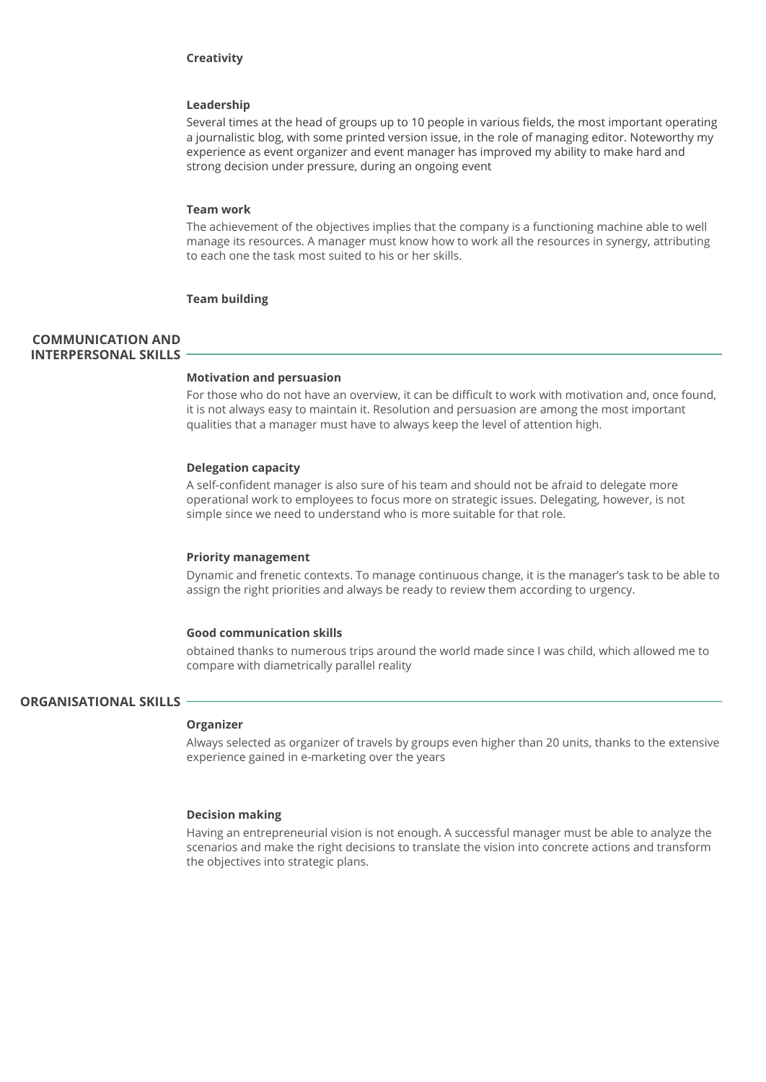### **Creativity**

# **Leadership**

Several times at the head of groups up to 10 people in various fields, the most important operating a journalistic blog, with some printed version issue, in the role of managing editor. Noteworthy my experience as event organizer and event manager has improved my ability to make hard and strong decision under pressure, during an ongoing event

### **Team work**

The achievement of the objectives implies that the company is a functioning machine able to well manage its resources. A manager must know how to work all the resources in synergy, attributing to each one the task most suited to his or her skills.

# **Team building**

# **COMMUNICATION AND INTERPERSONAL SKILLS**

#### **Motivation and persuasion**

For those who do not have an overview, it can be difficult to work with motivation and, once found, it is not always easy to maintain it. Resolution and persuasion are among the most important qualities that a manager must have to always keep the level of attention high.

### **Delegation capacity**

A self-confident manager is also sure of his team and should not be afraid to delegate more operational work to employees to focus more on strategic issues. Delegating, however, is not simple since we need to understand who is more suitable for that role.

#### **Priority management**

Dynamic and frenetic contexts. To manage continuous change, it is the manager's task to be able to assign the right priorities and always be ready to review them according to urgency.

### **Good communication skills**

obtained thanks to numerous trips around the world made since I was child, which allowed me to compare with diametrically parallel reality

# **ORGANISATIONAL SKILLS**

## **Organizer**

Always selected as organizer of travels by groups even higher than 20 units, thanks to the extensive experience gained in e-marketing over the years

### **Decision making**

Having an entrepreneurial vision is not enough. A successful manager must be able to analyze the scenarios and make the right decisions to translate the vision into concrete actions and transform the objectives into strategic plans.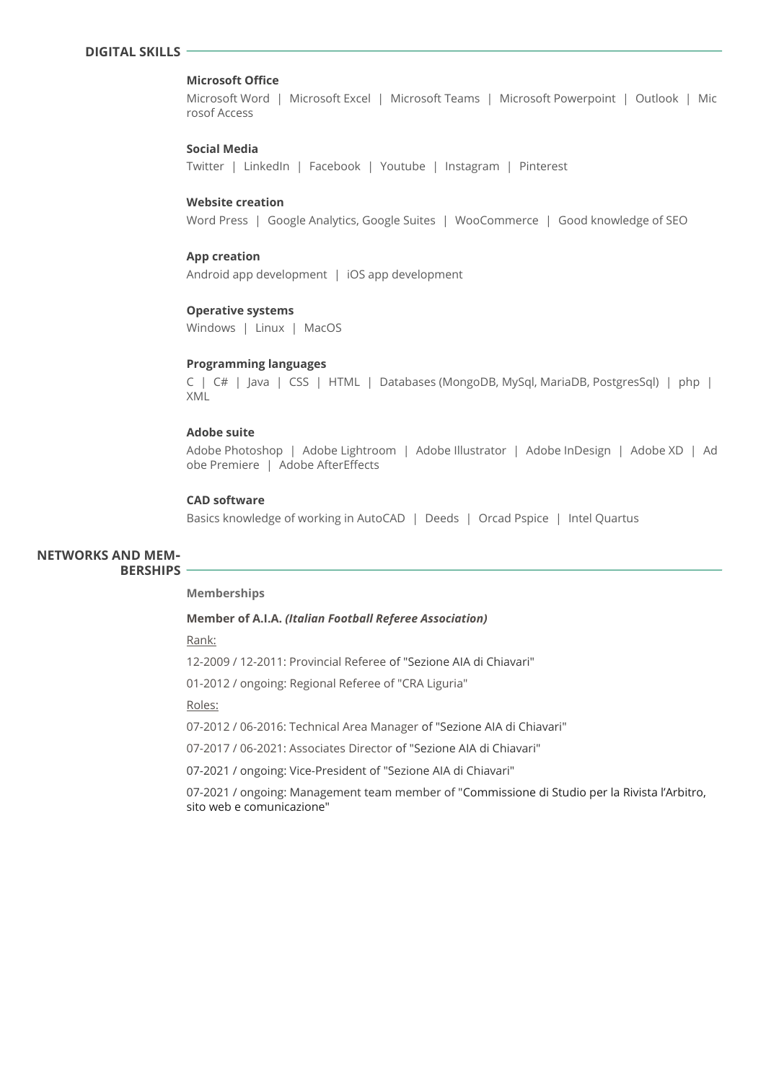# **DIGITAL SKILLS**

# **Microsoft Office**

Microsoft Word | Microsoft Excel | Microsoft Teams | Microsoft Powerpoint | Outlook | Mic rosof Access

### **Social Media**

Twitter | LinkedIn | Facebook | Youtube | Instagram | Pinterest

# **Website creation**

Word Press | Google Analytics, Google Suites | WooCommerce | Good knowledge of SEO

### **App creation**

Android app development | iOS app development

#### **Operative systems**

Windows | Linux | MacOS

#### **Programming languages**

C | C# | Java | CSS | HTML | Databases (MongoDB, MySql, MariaDB, PostgresSql) | php | XML

# **Adobe suite**

Adobe Photoshop | Adobe Lightroom | Adobe Illustrator | Adobe InDesign | Adobe XD | Ad obe Premiere | Adobe AfterEffects

### **CAD software**

Basics knowledge of working in AutoCAD | Deeds | Orcad Pspice | Intel Quartus

### **NETWORKS AND MEM‐ BERSHIPS**

#### **Memberships**

### **Member of A.I.A.** *(Italian Football Referee Association)*

Rank:

12-2009 / 12-2011: Provincial Referee of "Sezione AIA di Chiavari"

01-2012 / ongoing: Regional Referee of "CRA Liguria"

Roles:

07-2012 / 06-2016: Technical Area Manager of "Sezione AIA di Chiavari"

07-2017 / 06-2021: Associates Director of "Sezione AIA di Chiavari"

07-2021 / ongoing: Vice-President of "Sezione AIA di Chiavari"

07-2021 / ongoing: Management team member of "Commissione di Studio per la Rivista l'Arbitro, sito web e comunicazione"